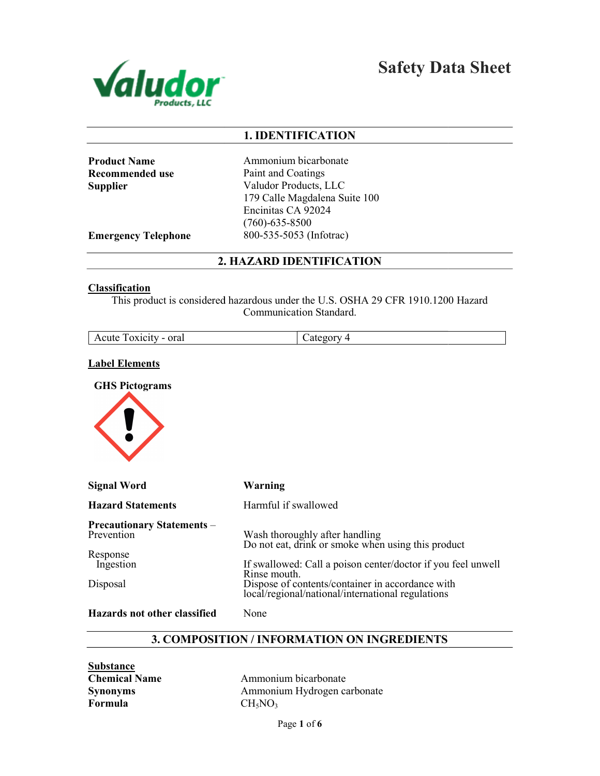

Safety Data Sheet

# 1. IDENTIFICATION

| <b>Product Name</b> |
|---------------------|
| Recommended use     |
| Supplier            |

Ammonium bicarbonate Paint and Coatings Valudor Products, LLC 179 Calle Magdalena Suite 100 Encinitas CA 92024 (760)-635-8500 800-535-5053 (Infotrac)

Emergency Telephone

2. HAZARD IDENTIFICATION

#### **Classification**

This product is considered hazardous under the U.S. OSHA 29 CFR 1910.1200 Hazard Communication Standard.

| oral<br>oxicity<br>Acute <sup>-</sup><br>$\overline{\phantom{0}}$ | 74 I.C<br>------ |
|-------------------------------------------------------------------|------------------|
|                                                                   |                  |

#### Label Elements

GHS Pictograms



| <b>Signal Word</b>                              | Warning                                                                                                               |
|-------------------------------------------------|-----------------------------------------------------------------------------------------------------------------------|
| <b>Hazard Statements</b>                        | Harmful if swallowed                                                                                                  |
| <b>Precautionary Statements –</b><br>Prevention | Wash thoroughly after handling<br>Do not eat, drink or smoke when using this product                                  |
| Response<br>Ingestion                           | If swallowed: Call a poison center/doctor if you feel unwell                                                          |
| Disposal                                        | Rinse mouth.<br>Dispose of contents/container in accordance with<br>local/regional/national/international regulations |
| Hazards not other classified                    | None                                                                                                                  |

#### 3. COMPOSITION / INFORMATION ON INGREDIENTS

**Substance** Chemical Name Synonyms Formula

Ammonium bicarbonate Ammonium Hydrogen carbonate  $CH<sub>5</sub>NO<sub>3</sub>$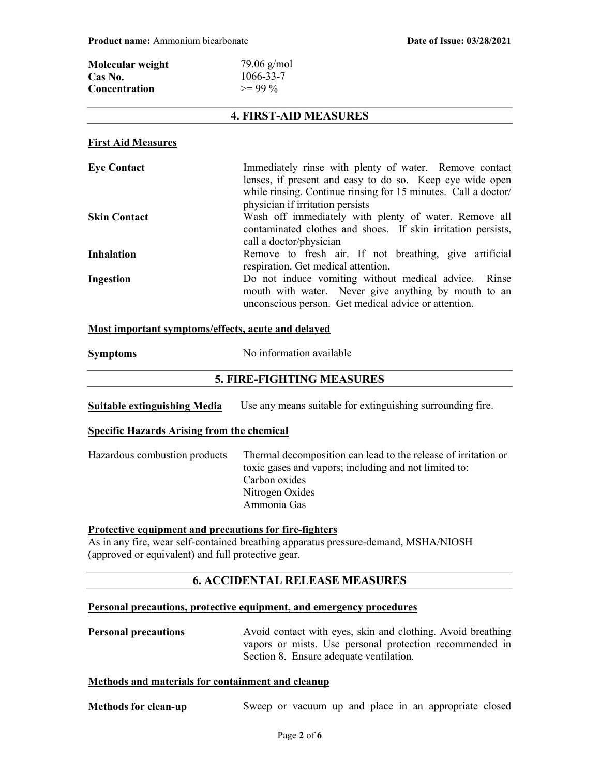| Molecular weight     | $79.06$ g/mol |
|----------------------|---------------|
| Cas No.              | 1066-33-7     |
| <b>Concentration</b> | $>= 99\%$     |

# 4. FIRST-AID MEASURES

### First Aid Measures

| <b>Eye Contact</b>  | Immediately rinse with plenty of water. Remove contact<br>lenses, if present and easy to do so. Keep eye wide open<br>while rinsing. Continue rinsing for 15 minutes. Call a doctor/<br>physician if irritation persists |
|---------------------|--------------------------------------------------------------------------------------------------------------------------------------------------------------------------------------------------------------------------|
| <b>Skin Contact</b> | Wash off immediately with plenty of water. Remove all<br>contaminated clothes and shoes. If skin irritation persists,<br>call a doctor/physician                                                                         |
| <b>Inhalation</b>   | Remove to fresh air. If not breathing, give artificial<br>respiration. Get medical attention.                                                                                                                            |
| Ingestion           | Do not induce vomiting without medical advice. Rinse<br>mouth with water. Never give anything by mouth to an<br>unconscious person. Get medical advice or attention.                                                     |

#### Most important symptoms/effects, acute and delayed

| No information available |
|--------------------------|
|                          |

# 5. FIRE-FIGHTING MEASURES

Suitable extinguishing Media Use any means suitable for extinguishing surrounding fire.

#### Specific Hazards Arising from the chemical

| Hazardous combustion products | Thermal decomposition can lead to the release of irritation or<br>toxic gases and vapors; including and not limited to: |
|-------------------------------|-------------------------------------------------------------------------------------------------------------------------|
|                               | Carbon oxides                                                                                                           |
|                               | Nitrogen Oxides                                                                                                         |
|                               | Ammonia Gas                                                                                                             |

## Protective equipment and precautions for fire-fighters

As in any fire, wear self-contained breathing apparatus pressure-demand, MSHA/NIOSH (approved or equivalent) and full protective gear.

# 6. ACCIDENTAL RELEASE MEASURES

#### Personal precautions, protective equipment, and emergency procedures

| <b>Personal precautions</b> | Avoid contact with eyes, skin and clothing. Avoid breathing |
|-----------------------------|-------------------------------------------------------------|
|                             | vapors or mists. Use personal protection recommended in     |
|                             | Section 8. Ensure adequate ventilation.                     |

#### Methods and materials for containment and cleanup

| <b>Methods for clean-up</b> |  |  |  |  |  |  |  |  | Sweep or vacuum up and place in an appropriate closed |  |  |
|-----------------------------|--|--|--|--|--|--|--|--|-------------------------------------------------------|--|--|
|-----------------------------|--|--|--|--|--|--|--|--|-------------------------------------------------------|--|--|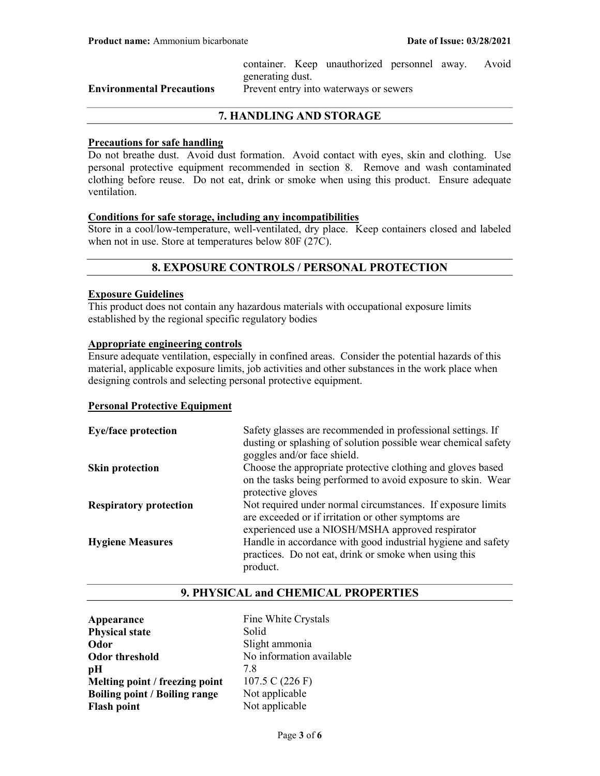container. Keep unauthorized personnel away. Avoid generating dust.

Environmental Precautions Prevent entry into waterways or sewers

# 7. HANDLING AND STORAGE

#### Precautions for safe handling

Do not breathe dust. Avoid dust formation. Avoid contact with eyes, skin and clothing. Use personal protective equipment recommended in section 8. Remove and wash contaminated clothing before reuse. Do not eat, drink or smoke when using this product. Ensure adequate ventilation.

#### Conditions for safe storage, including any incompatibilities

Store in a cool/low-temperature, well-ventilated, dry place. Keep containers closed and labeled when not in use. Store at temperatures below 80F (27C).

### 8. EXPOSURE CONTROLS / PERSONAL PROTECTION

#### Exposure Guidelines

This product does not contain any hazardous materials with occupational exposure limits established by the regional specific regulatory bodies

# Appropriate engineering controls

Ensure adequate ventilation, especially in confined areas. Consider the potential hazards of this material, applicable exposure limits, job activities and other substances in the work place when designing controls and selecting personal protective equipment.

#### Personal Protective Equipment

| <b>Eye/face protection</b>    | Safety glasses are recommended in professional settings. If                                   |
|-------------------------------|-----------------------------------------------------------------------------------------------|
|                               | dusting or splashing of solution possible wear chemical safety<br>goggles and/or face shield. |
|                               |                                                                                               |
| <b>Skin protection</b>        | Choose the appropriate protective clothing and gloves based                                   |
|                               | on the tasks being performed to avoid exposure to skin. Wear                                  |
|                               | protective gloves                                                                             |
| <b>Respiratory protection</b> | Not required under normal circumstances. If exposure limits                                   |
|                               | are exceeded or if irritation or other symptoms are                                           |
|                               | experienced use a NIOSH/MSHA approved respirator                                              |
| <b>Hygiene Measures</b>       | Handle in accordance with good industrial hygiene and safety                                  |
|                               | practices. Do not eat, drink or smoke when using this                                         |
|                               | product.                                                                                      |

### 9. PHYSICAL and CHEMICAL PROPERTIES

Appearance Fine White Crystals Physical state Solid Odor Slight ammonia Odor threshold No information available  $pH$  7.8 Melting point / freezing point  $107.5 \text{ C} (226 \text{ F})$ Boiling point / Boiling range Not applicable Flash point Not applicable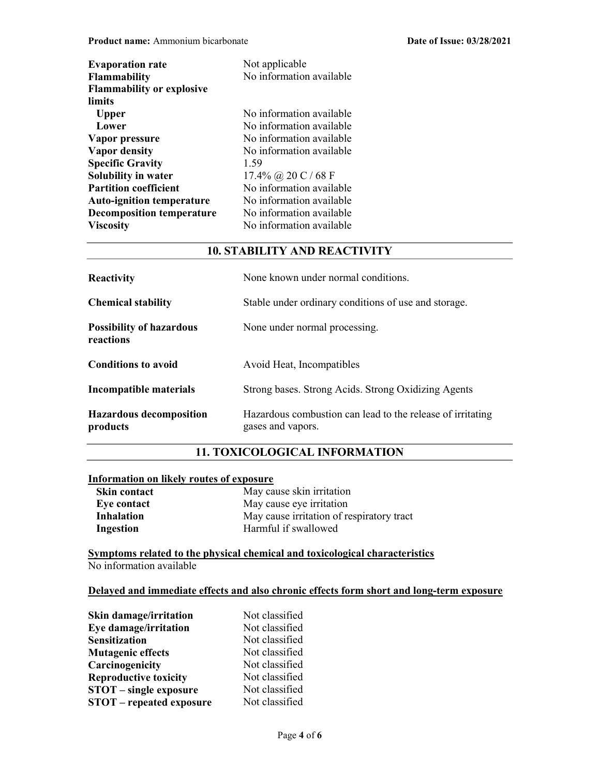| <b>Evaporation rate</b>          | Not applicable           |
|----------------------------------|--------------------------|
| <b>Flammability</b>              | No information available |
| <b>Flammability or explosive</b> |                          |
| limits                           |                          |
| <b>Upper</b>                     | No information available |
| Lower                            | No information available |
| Vapor pressure                   | No information available |
| Vapor density                    | No information available |
| <b>Specific Gravity</b>          | 1.59                     |
| Solubility in water              | 17.4% @ 20 C / 68 F      |
| <b>Partition coefficient</b>     | No information available |
| <b>Auto-ignition temperature</b> | No information available |
| <b>Decomposition temperature</b> | No information available |
| <b>Viscosity</b>                 | No information available |

#### 10. STABILITY AND REACTIVITY

| <b>Reactivity</b>                            | None known under normal conditions.                                             |
|----------------------------------------------|---------------------------------------------------------------------------------|
| <b>Chemical stability</b>                    | Stable under ordinary conditions of use and storage.                            |
| <b>Possibility of hazardous</b><br>reactions | None under normal processing.                                                   |
| <b>Conditions to avoid</b>                   | Avoid Heat, Incompatibles                                                       |
| Incompatible materials                       | Strong bases. Strong Acids. Strong Oxidizing Agents                             |
| <b>Hazardous decomposition</b><br>products   | Hazardous combustion can lead to the release of irritating<br>gases and vapors. |

# 11. TOXICOLOGICAL INFORMATION

#### Information on likely routes of exposure

| <b>Skin contact</b> | May cause skin irritation                 |
|---------------------|-------------------------------------------|
| Eve contact         | May cause eye irritation                  |
| <b>Inhalation</b>   | May cause irritation of respiratory tract |
| Ingestion           | Harmful if swallowed                      |

Symptoms related to the physical chemical and toxicological characteristics No information available

# Delayed and immediate effects and also chronic effects form short and long-term exposure

| <b>Skin damage/irritation</b>   | Not classified |
|---------------------------------|----------------|
| Eye damage/irritation           | Not classified |
| <b>Sensitization</b>            | Not classified |
| <b>Mutagenic effects</b>        | Not classified |
| Carcinogenicity                 | Not classified |
| <b>Reproductive toxicity</b>    | Not classified |
| <b>STOT</b> – single exposure   | Not classified |
| <b>STOT</b> – repeated exposure | Not classified |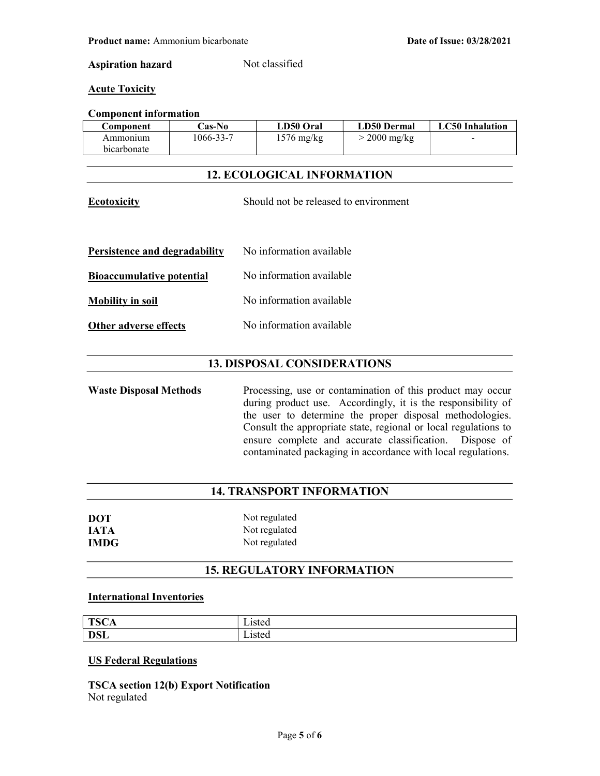#### Aspiration hazard Not classified

#### **Acute Toxicity**

#### Component information

| Component   | Cas-No    | LD50 Oral            | <b>LD50 Dermal</b> | <b>LC50</b> Inhalation |
|-------------|-----------|----------------------|--------------------|------------------------|
| Ammonium    | 1066-33-7 | $1576 \text{ mg/kg}$ | $>$ 2000 mg/kg     | $\sim$                 |
| bicarbonate |           |                      |                    |                        |

# 12. ECOLOGICAL INFORMATION

| <b>Ecotoxicity</b>               | Should not be released to environment |
|----------------------------------|---------------------------------------|
| Persistence and degradability    | No information available              |
| <b>Bioaccumulative potential</b> | No information available              |
| <b>Mobility in soil</b>          | No information available              |
| <b>Other adverse effects</b>     | No information available              |

# 13. DISPOSAL CONSIDERATIONS

Waste Disposal Methods Processing, use or contamination of this product may occur during product use. Accordingly, it is the responsibility of the user to determine the proper disposal methodologies. Consult the appropriate state, regional or local regulations to ensure complete and accurate classification. Dispose of contaminated packaging in accordance with local regulations.

# 14. TRANSPORT INFORMATION

| <b>DOT</b>  | Not regulated |
|-------------|---------------|
| <b>IATA</b> | Not regulated |
| <b>IMDG</b> | Not regulated |

### 15. REGULATORY INFORMATION

# International Inventories

| TCC<br>15C <sub>2</sub> | $ \cdot$<br>. 1012<br>.isicu   |
|-------------------------|--------------------------------|
| <b>DSL</b>              | $ \cdot$<br>$-1010<$<br>∟isicu |

#### US Federal Regulations

TSCA section 12(b) Export Notification Not regulated